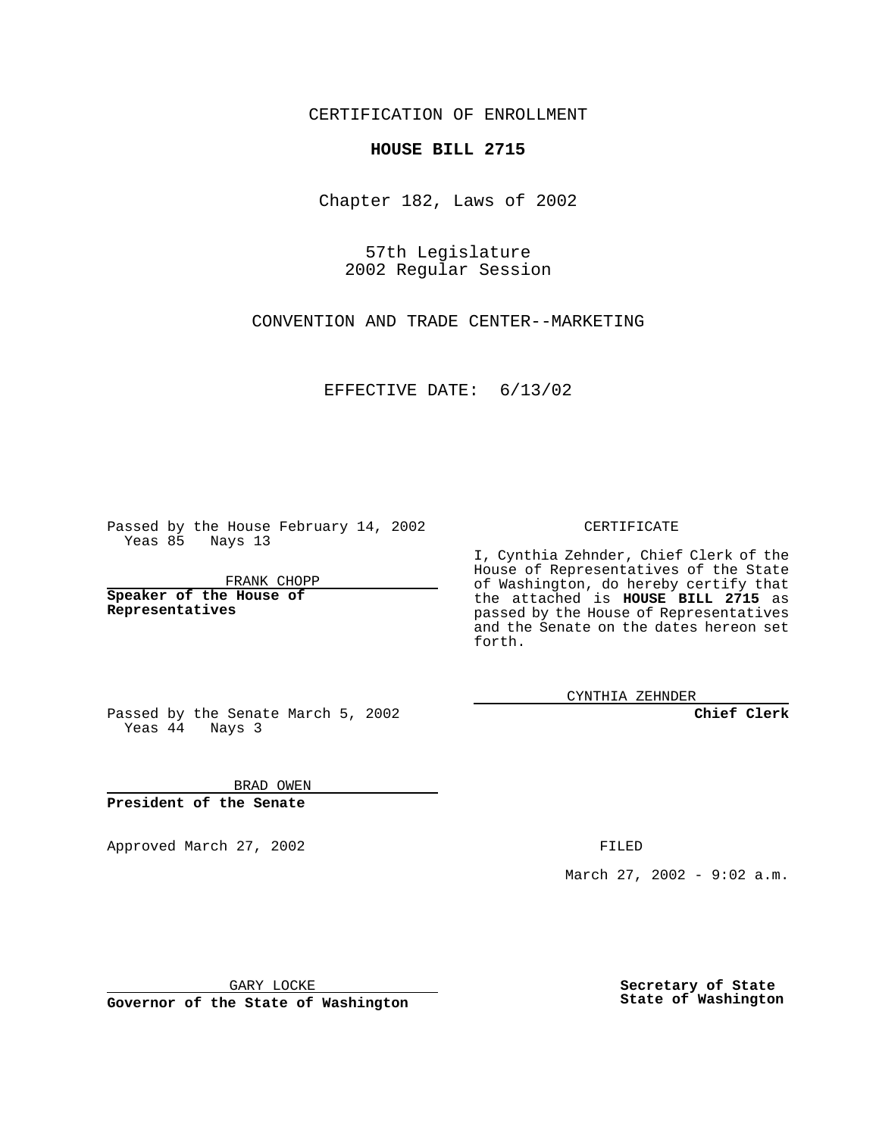CERTIFICATION OF ENROLLMENT

## **HOUSE BILL 2715**

Chapter 182, Laws of 2002

57th Legislature 2002 Regular Session

CONVENTION AND TRADE CENTER--MARKETING

EFFECTIVE DATE: 6/13/02

Passed by the House February 14, 2002 Yeas 85 Nays 13

FRANK CHOPP

**Speaker of the House of Representatives**

CERTIFICATE

I, Cynthia Zehnder, Chief Clerk of the House of Representatives of the State of Washington, do hereby certify that the attached is **HOUSE BILL 2715** as passed by the House of Representatives and the Senate on the dates hereon set forth.

CYNTHIA ZEHNDER

**Chief Clerk**

Passed by the Senate March 5, 2002 Yeas  $4\overline{4}$  Nays 3

BRAD OWEN **President of the Senate**

Approved March 27, 2002 **FILED** 

March 27, 2002 - 9:02 a.m.

GARY LOCKE

**Governor of the State of Washington**

**Secretary of State State of Washington**